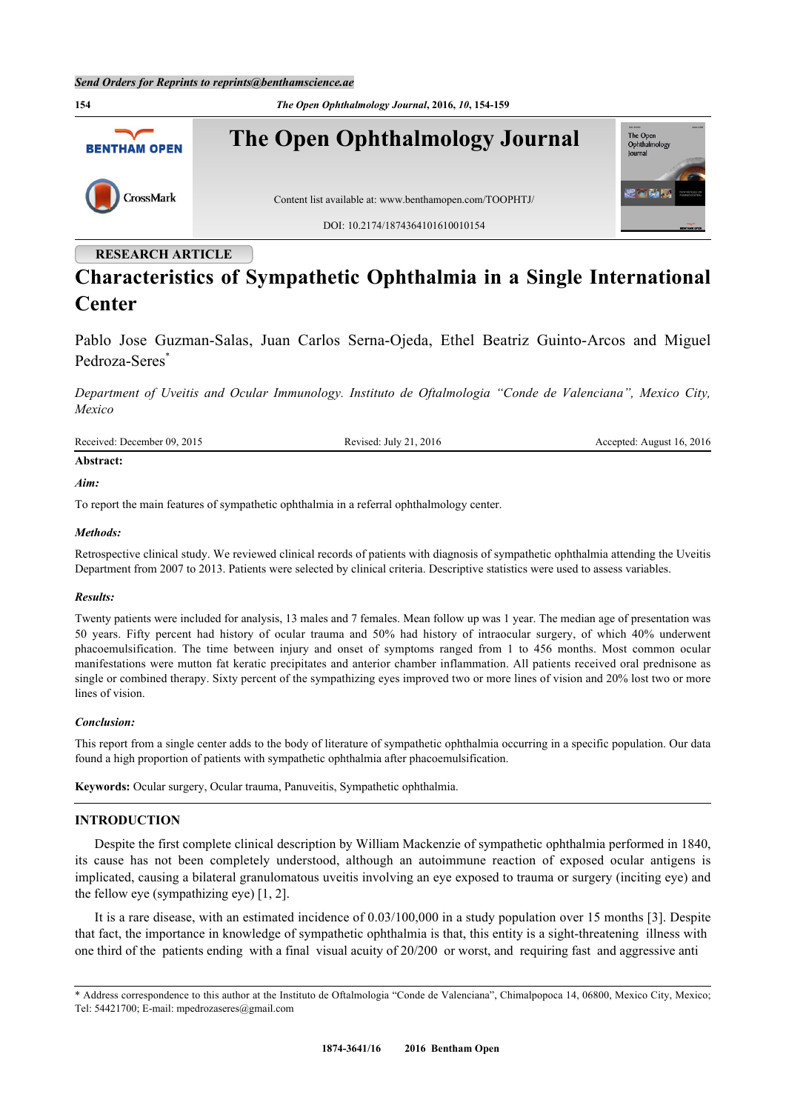

# **RESEARCH ARTICLE**

# **Characteristics of Sympathetic Ophthalmia in a Single International Center**

Pablo Jose Guzman-Salas, Juan Carlos Serna-Ojeda, Ethel Beatriz Guinto-Arcos and Miguel Pedroza-Seres<sup>[\\*](#page-0-0)</sup>

*Department of Uveitis and Ocular Immunology. Instituto de Oftalmologia "Conde de Valenciana", Mexico City, Mexico*

Received: December 09, 2015 Revised: July 21, 2016 Accepted: August 16, 2016

# **Abstract:** *Aim:*

To report the main features of sympathetic ophthalmia in a referral ophthalmology center.

### *Methods:*

Retrospective clinical study. We reviewed clinical records of patients with diagnosis of sympathetic ophthalmia attending the Uveitis Department from 2007 to 2013. Patients were selected by clinical criteria. Descriptive statistics were used to assess variables.

#### *Results:*

Twenty patients were included for analysis, 13 males and 7 females. Mean follow up was 1 year. The median age of presentation was 50 years. Fifty percent had history of ocular trauma and 50% had history of intraocular surgery, of which 40% underwent phacoemulsification. The time between injury and onset of symptoms ranged from 1 to 456 months. Most common ocular manifestations were mutton fat keratic precipitates and anterior chamber inflammation. All patients received oral prednisone as single or combined therapy. Sixty percent of the sympathizing eyes improved two or more lines of vision and 20% lost two or more lines of vision.

#### *Conclusion:*

This report from a single center adds to the body of literature of sympathetic ophthalmia occurring in a specific population. Our data found a high proportion of patients with sympathetic ophthalmia after phacoemulsification.

**Keywords:** Ocular surgery, Ocular trauma, Panuveitis, Sympathetic ophthalmia.

# **INTRODUCTION**

Despite the first complete clinical description by William Mackenzie of sympathetic ophthalmia performed in 1840, its cause has not been completely understood, although an autoimmune reaction of exposed ocular antigens is implicated, causing a bilateral granulomatous uveitis involving an eye exposed to trauma or surgery (inciting eye) and the fellow eye (sympathizing eye) [[1,](#page-5-0) [2\]](#page-5-1).

It is a rare disease, with an estimated incidence of 0.03/100,000 in a study population over 15 months [[3\]](#page-5-2). Despite that fact, the importance in knowledge of sympathetic ophthalmia is that, this entity is a sight-threatening illness with one third of the patients ending with a final visual acuity of 20/200 or worst, and requiring fast and aggressive anti

<span id="page-0-0"></span><sup>\*</sup> Address correspondence to this author at the Instituto de Oftalmologia "Conde de Valenciana", Chimalpopoca 14, 06800, Mexico City, Mexico; Tel: 54421700; E-mail: [mpedrozaseres@gmail.com](mailto:mpedrozaseres@gmail.com)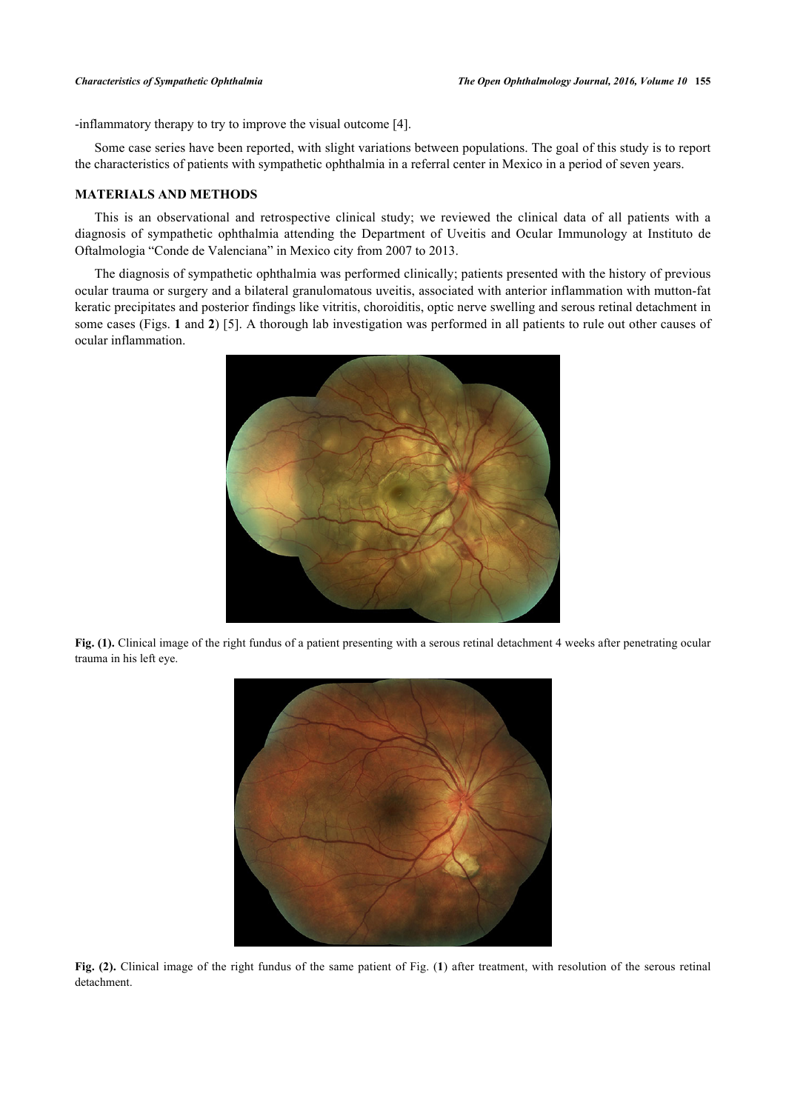-inflammatory therapy to try to improve the visual outcome [[4\]](#page-5-3).

Some case series have been reported, with slight variations between populations. The goal of this study is to report the characteristics of patients with sympathetic ophthalmia in a referral center in Mexico in a period of seven years.

# **MATERIALS AND METHODS**

This is an observational and retrospective clinical study; we reviewed the clinical data of all patients with a diagnosis of sympathetic ophthalmia attending the Department of Uveitis and Ocular Immunology at Instituto de Oftalmologia "Conde de Valenciana" in Mexico city from 2007 to 2013.

<span id="page-1-0"></span>The diagnosis of sympathetic ophthalmia was performed clinically; patients presented with the history of previous ocular trauma or surgery and a bilateral granulomatous uveitis, associated with anterior inflammation with mutton-fat keratic precipitates and posterior findings like vitritis, choroiditis, optic nerve swelling and serous retinal detachment in some cases (Figs. **[1](#page-1-0)** and **[2](#page-1-1)**) [[5\]](#page-5-4). A thorough lab investigation was performed in all patients to rule out other causes of ocular inflammation.



**Fig. (1).** Clinical image of the right fundus of a patient presenting with a serous retinal detachment 4 weeks after penetrating ocular trauma in his left eye.

<span id="page-1-1"></span>

**Fig. (2).** Clinical image of the right fundus of the same patient of Fig. (**[1](#page-1-0)**) after treatment, with resolution of the serous retinal detachment.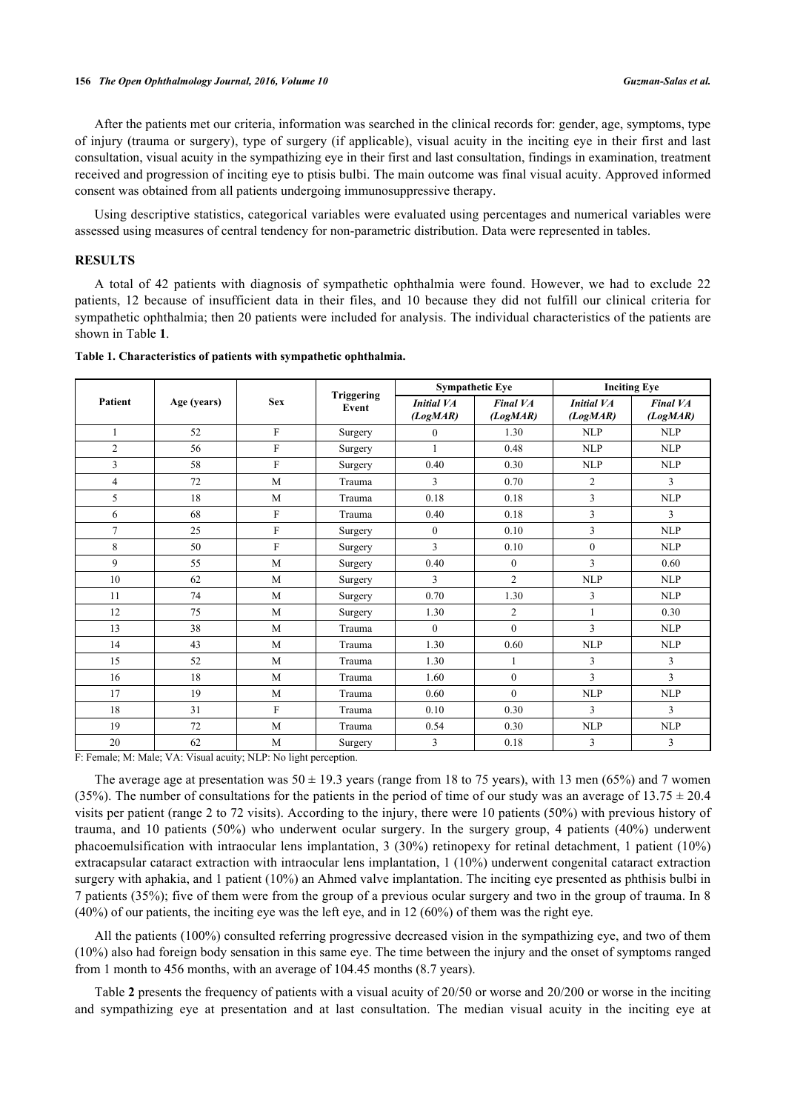After the patients met our criteria, information was searched in the clinical records for: gender, age, symptoms, type of injury (trauma or surgery), type of surgery (if applicable), visual acuity in the inciting eye in their first and last consultation, visual acuity in the sympathizing eye in their first and last consultation, findings in examination, treatment received and progression of inciting eye to ptisis bulbi. The main outcome was final visual acuity. Approved informed consent was obtained from all patients undergoing immunosuppressive therapy.

Using descriptive statistics, categorical variables were evaluated using percentages and numerical variables were assessed using measures of central tendency for non-parametric distribution. Data were represented in tables.

#### **RESULTS**

A total of 42 patients with diagnosis of sympathetic ophthalmia were found. However, we had to exclude 22 patients, 12 because of insufficient data in their files, and 10 because they did not fulfill our clinical criteria for sympathetic ophthalmia; then 20 patients were included for analysis. The individual characteristics of the patients are shown in Table **[1](#page-2-0)**.

| Patient        | Age (years) | <b>Sex</b> | <b>Triggering</b><br>Event | <b>Sympathetic Eye</b>        |                             | <b>Inciting Eye</b>           |                             |
|----------------|-------------|------------|----------------------------|-------------------------------|-----------------------------|-------------------------------|-----------------------------|
|                |             |            |                            | <b>Initial VA</b><br>(LogMAR) | <b>Final VA</b><br>(LogMAR) | <b>Initial VA</b><br>(LogMAR) | <b>Final VA</b><br>(LogMAR) |
| $\mathbf{1}$   | 52          | F          | Surgery                    | $\mathbf{0}$                  | 1.30                        | <b>NLP</b>                    | NLP                         |
| $\mathfrak{2}$ | 56          | F          | Surgery                    | 1                             | 0.48                        | <b>NLP</b>                    | NLP                         |
| 3              | 58          | F          | Surgery                    | 0.40                          | 0.30                        | <b>NLP</b>                    | <b>NLP</b>                  |
| $\overline{4}$ | 72          | M          | Trauma                     | 3                             | 0.70                        | $\overline{2}$                | 3                           |
| 5              | 18          | M          | Trauma                     | 0.18                          | 0.18                        | 3                             | NLP                         |
| 6              | 68          | F          | Trauma                     | 0.40                          | 0.18                        | 3                             | 3                           |
| $\overline{7}$ | 25          | F          | Surgery                    | $\theta$                      | 0.10                        | 3                             | <b>NLP</b>                  |
| 8              | 50          | F          | Surgery                    | 3                             | 0.10                        | $\theta$                      | <b>NLP</b>                  |
| 9              | 55          | M          | Surgery                    | 0.40                          | $\mathbf{0}$                | 3                             | 0.60                        |
| 10             | 62          | M          | Surgery                    | 3                             | $\overline{2}$              | <b>NLP</b>                    | NLP                         |
| 11             | 74          | M          | Surgery                    | 0.70                          | 1.30                        | 3                             | <b>NLP</b>                  |
| 12             | 75          | M          | Surgery                    | 1.30                          | $\overline{2}$              | 1                             | 0.30                        |
| 13             | 38          | M          | Trauma                     | $\theta$                      | $\theta$                    | $\overline{3}$                | NLP                         |
| 14             | 43          | M          | Trauma                     | 1.30                          | 0.60                        | <b>NLP</b>                    | <b>NLP</b>                  |
| 15             | 52          | M          | Trauma                     | 1.30                          | $\mathbf{1}$                | 3                             | 3                           |
| 16             | 18          | M          | Trauma                     | 1.60                          | $\theta$                    | 3                             | 3                           |
| 17             | 19          | M          | Trauma                     | 0.60                          | $\theta$                    | <b>NLP</b>                    | <b>NLP</b>                  |
| 18             | 31          | F          | Trauma                     | 0.10                          | 0.30                        | 3                             | 3                           |
| 19             | 72          | M          | Trauma                     | 0.54                          | 0.30                        | <b>NLP</b>                    | <b>NLP</b>                  |
| 20             | 62          | M          | Surgery                    | 3                             | 0.18                        | 3                             | 3                           |

#### <span id="page-2-0"></span>**Table 1. Characteristics of patients with sympathetic ophthalmia.**

F: Female; M: Male; VA: Visual acuity; NLP: No light perception.

The average age at presentation was  $50 \pm 19.3$  years (range from 18 to 75 years), with 13 men (65%) and 7 women (35%). The number of consultations for the patients in the period of time of our study was an average of  $13.75 \pm 20.4$ visits per patient (range 2 to 72 visits). According to the injury, there were 10 patients (50%) with previous history of trauma, and 10 patients (50%) who underwent ocular surgery. In the surgery group, 4 patients (40%) underwent phacoemulsification with intraocular lens implantation, 3 (30%) retinopexy for retinal detachment, 1 patient (10%) extracapsular cataract extraction with intraocular lens implantation, 1 (10%) underwent congenital cataract extraction surgery with aphakia, and 1 patient (10%) an Ahmed valve implantation. The inciting eye presented as phthisis bulbi in 7 patients (35%); five of them were from the group of a previous ocular surgery and two in the group of trauma. In 8 (40%) of our patients, the inciting eye was the left eye, and in 12 (60%) of them was the right eye.

All the patients (100%) consulted referring progressive decreased vision in the sympathizing eye, and two of them (10%) also had foreign body sensation in this same eye. The time between the injury and the onset of symptoms ranged from 1 month to 456 months, with an average of 104.45 months (8.7 years).

Table **[2](#page-3-0)** presents the frequency of patients with a visual acuity of 20/50 or worse and 20/200 or worse in the inciting and sympathizing eye at presentation and at last consultation. The median visual acuity in the inciting eye at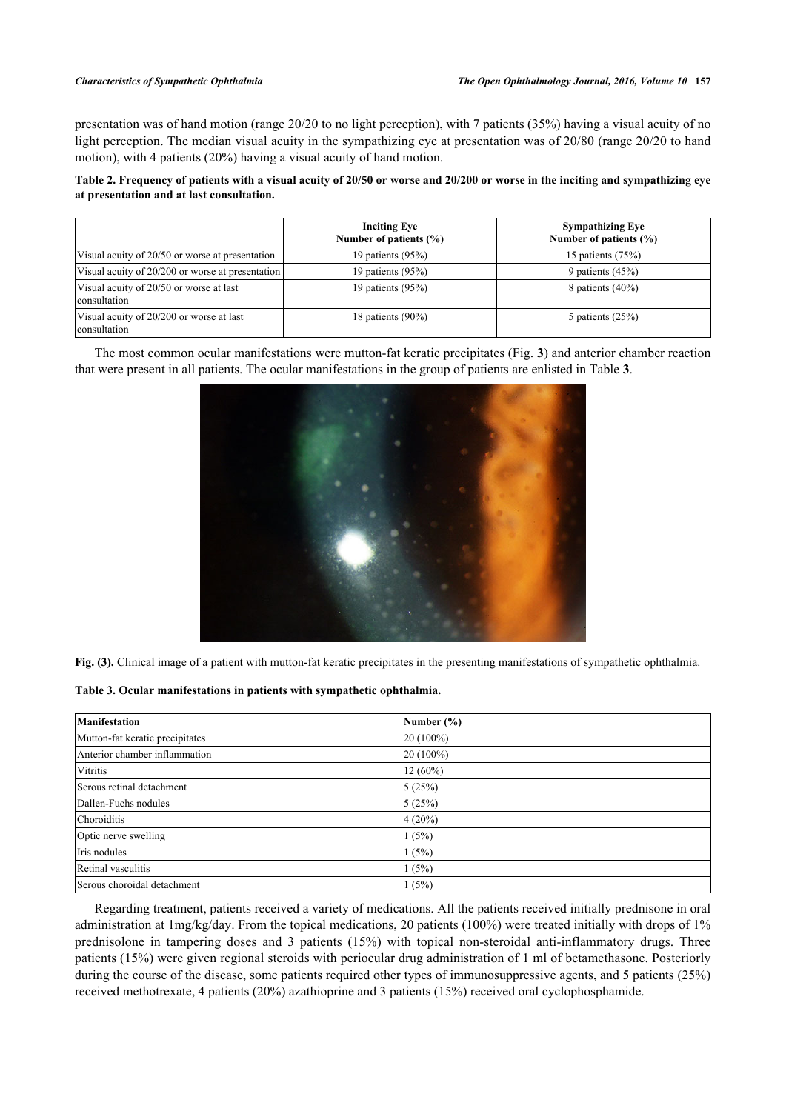presentation was of hand motion (range 20/20 to no light perception), with 7 patients (35%) having a visual acuity of no light perception. The median visual acuity in the sympathizing eye at presentation was of 20/80 (range 20/20 to hand motion), with 4 patients (20%) having a visual acuity of hand motion.

<span id="page-3-0"></span>**Table 2. Frequency of patients with a visual acuity of 20/50 or worse and 20/200 or worse in the inciting and sympathizing eye at presentation and at last consultation.**

|                                                          | <b>Inciting Eye</b><br>Number of patients $(\% )$ | <b>Sympathizing Eye</b><br>Number of patients $(\% )$ |
|----------------------------------------------------------|---------------------------------------------------|-------------------------------------------------------|
| Visual acuity of 20/50 or worse at presentation          | 19 patients $(95%)$                               | 15 patients $(75%)$                                   |
| Visual acuity of 20/200 or worse at presentation         | 19 patients $(95%)$                               | 9 patients $(45%)$                                    |
| Visual acuity of 20/50 or worse at last<br>consultation  | 19 patients $(95\%)$                              | 8 patients $(40\%)$                                   |
| Visual acuity of 20/200 or worse at last<br>consultation | 18 patients $(90\%)$                              | 5 patients $(25%)$                                    |

<span id="page-3-1"></span>The most common ocular manifestations were mutton-fat keratic precipitates (Fig. **[3](#page-3-1)**) and anterior chamber reaction that were present in all patients. The ocular manifestations in the group of patients are enlisted in Table **[3](#page--1-0)**.



**Fig. (3).** Clinical image of a patient with mutton-fat keratic precipitates in the presenting manifestations of sympathetic ophthalmia.

**Table 3. Ocular manifestations in patients with sympathetic ophthalmia.**

| <b>Manifestation</b>            | Number $(\% )$ |
|---------------------------------|----------------|
| Mutton-fat keratic precipitates | $20(100\%)$    |
| Anterior chamber inflammation   | $20(100\%)$    |
| Vitritis                        | $12(60\%)$     |
| Serous retinal detachment       | 5(25%)         |
| Dallen-Fuchs nodules            | 5(25%)         |
| Choroiditis                     | $4(20\%)$      |
| Optic nerve swelling            | 1(5%)          |
| Iris nodules                    | 1(5%)          |
| Retinal vasculitis              | 1(5%)          |
| Serous choroidal detachment     | 1(5%)          |

Regarding treatment, patients received a variety of medications. All the patients received initially prednisone in oral administration at 1mg/kg/day. From the topical medications, 20 patients (100%) were treated initially with drops of 1% prednisolone in tampering doses and 3 patients (15%) with topical non-steroidal anti-inflammatory drugs. Three patients (15%) were given regional steroids with periocular drug administration of 1 ml of betamethasone. Posteriorly during the course of the disease, some patients required other types of immunosuppressive agents, and 5 patients (25%) received methotrexate, 4 patients (20%) azathioprine and 3 patients (15%) received oral cyclophosphamide.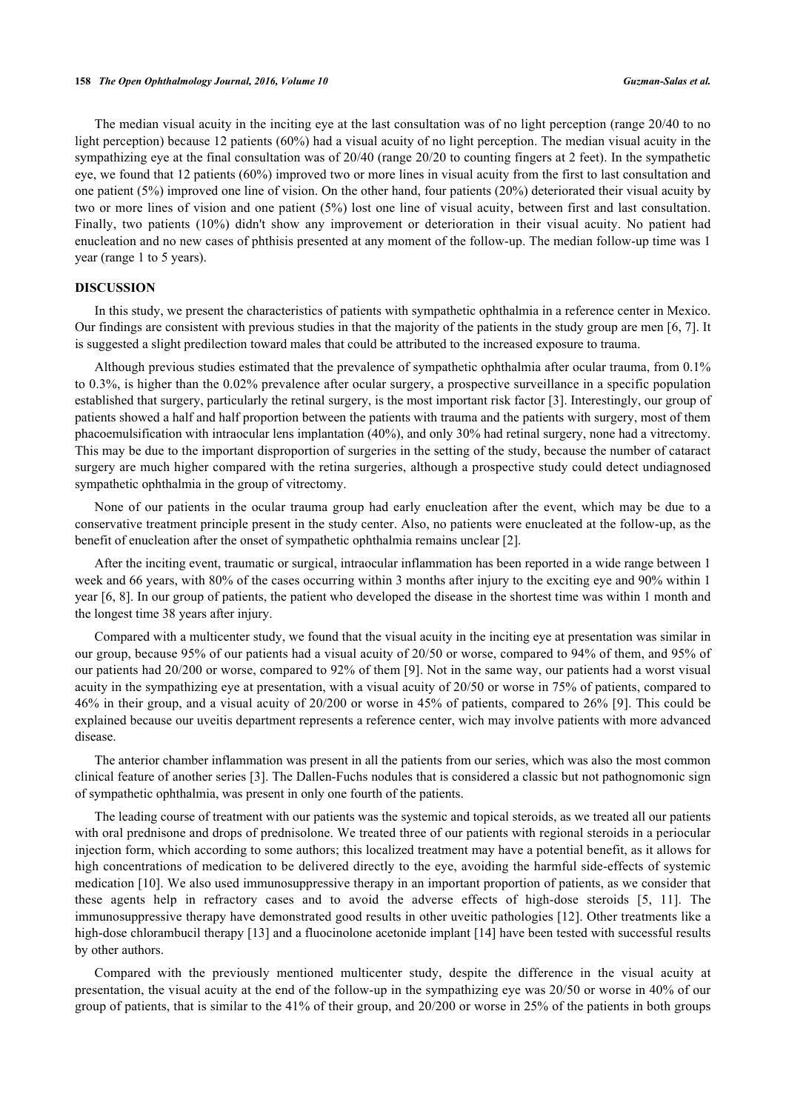The median visual acuity in the inciting eye at the last consultation was of no light perception (range 20/40 to no light perception) because 12 patients (60%) had a visual acuity of no light perception. The median visual acuity in the sympathizing eye at the final consultation was of 20/40 (range 20/20 to counting fingers at 2 feet). In the sympathetic eye, we found that 12 patients (60%) improved two or more lines in visual acuity from the first to last consultation and one patient (5%) improved one line of vision. On the other hand, four patients (20%) deteriorated their visual acuity by two or more lines of vision and one patient (5%) lost one line of visual acuity, between first and last consultation. Finally, two patients (10%) didn't show any improvement or deterioration in their visual acuity. No patient had enucleation and no new cases of phthisis presented at any moment of the follow-up. The median follow-up time was 1 year (range 1 to 5 years).

### **DISCUSSION**

In this study, we present the characteristics of patients with sympathetic ophthalmia in a reference center in Mexico. Our findings are consistent with previous studies in that the majority of the patients in the study group are men [[6,](#page-5-5) [7](#page-5-6)]. It is suggested a slight predilection toward males that could be attributed to the increased exposure to trauma.

Although previous studies estimated that the prevalence of sympathetic ophthalmia after ocular trauma, from 0.1% to 0.3%, is higher than the 0.02% prevalence after ocular surgery, a prospective surveillance in a specific population established that surgery, particularly the retinal surgery, is the most important risk factor [[3\]](#page-5-2). Interestingly, our group of patients showed a half and half proportion between the patients with trauma and the patients with surgery, most of them phacoemulsification with intraocular lens implantation (40%), and only 30% had retinal surgery, none had a vitrectomy. This may be due to the important disproportion of surgeries in the setting of the study, because the number of cataract surgery are much higher compared with the retina surgeries, although a prospective study could detect undiagnosed sympathetic ophthalmia in the group of vitrectomy.

None of our patients in the ocular trauma group had early enucleation after the event, which may be due to a conservative treatment principle present in the study center. Also, no patients were enucleated at the follow-up, as the benefit of enucleation after the onset of sympathetic ophthalmia remains unclear [\[2](#page-5-1)].

After the inciting event, traumatic or surgical, intraocular inflammation has been reported in a wide range between 1 week and 66 years, with 80% of the cases occurring within 3 months after injury to the exciting eye and 90% within 1 year [\[6](#page-5-5), [8](#page-5-7)]. In our group of patients, the patient who developed the disease in the shortest time was within 1 month and the longest time 38 years after injury.

Compared with a multicenter study, we found that the visual acuity in the inciting eye at presentation was similar in our group, because 95% of our patients had a visual acuity of 20/50 or worse, compared to 94% of them, and 95% of our patients had 20/200 or worse, compared to 92% of them [[9\]](#page-5-8). Not in the same way, our patients had a worst visual acuity in the sympathizing eye at presentation, with a visual acuity of 20/50 or worse in 75% of patients, compared to 46% in their group, and a visual acuity of 20/200 or worse in 45% of patients, compared to 26% [\[9\]](#page-5-8). This could be explained because our uveitis department represents a reference center, wich may involve patients with more advanced disease.

The anterior chamber inflammation was present in all the patients from our series, which was also the most common clinical feature of another series [[3\]](#page-5-2). The Dallen-Fuchs nodules that is considered a classic but not pathognomonic sign of sympathetic ophthalmia, was present in only one fourth of the patients.

The leading course of treatment with our patients was the systemic and topical steroids, as we treated all our patients with oral prednisone and drops of prednisolone. We treated three of our patients with regional steroids in a periocular injection form, which according to some authors; this localized treatment may have a potential benefit, as it allows for high concentrations of medication to be delivered directly to the eye, avoiding the harmful side-effects of systemic medication [[10](#page-5-9)]. We also used immunosuppressive therapy in an important proportion of patients, as we consider that these agents help in refractory cases and to avoid the adverse effects of high-dose steroids [\[5](#page-5-4), [11\]](#page-5-10). The immunosuppressive therapy have demonstrated good results in other uveitic pathologies [[12\]](#page-5-11). Other treatments like a high-dose chlorambucil therapy [[13\]](#page-5-12) and a fluocinolone acetonide implant [\[14\]](#page-5-13) have been tested with successful results by other authors.

Compared with the previously mentioned multicenter study, despite the difference in the visual acuity at presentation, the visual acuity at the end of the follow-up in the sympathizing eye was 20/50 or worse in 40% of our group of patients, that is similar to the 41% of their group, and 20/200 or worse in 25% of the patients in both groups